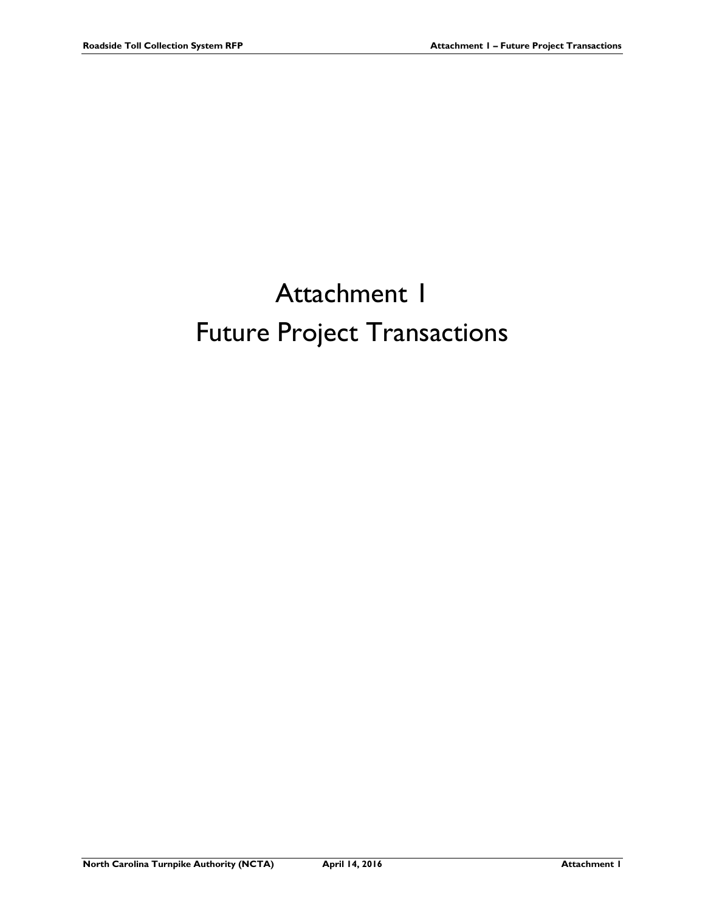## Attachment 1 Future Project Transactions